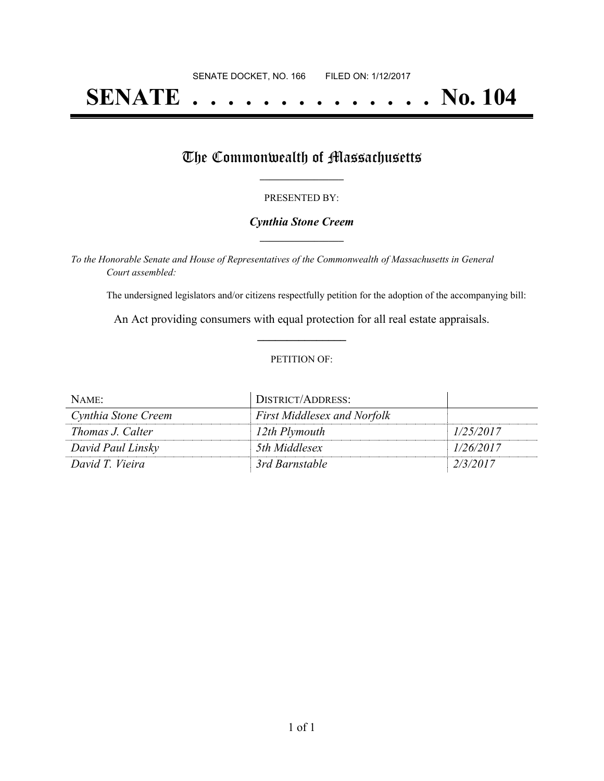# **SENATE . . . . . . . . . . . . . . No. 104**

# The Commonwealth of Massachusetts

### PRESENTED BY:

### *Cynthia Stone Creem* **\_\_\_\_\_\_\_\_\_\_\_\_\_\_\_\_\_**

*To the Honorable Senate and House of Representatives of the Commonwealth of Massachusetts in General Court assembled:*

The undersigned legislators and/or citizens respectfully petition for the adoption of the accompanying bill:

An Act providing consumers with equal protection for all real estate appraisals. **\_\_\_\_\_\_\_\_\_\_\_\_\_\_\_**

#### PETITION OF:

| NAME:               | DISTRICT/ADDRESS:                  |           |
|---------------------|------------------------------------|-----------|
| Cynthia Stone Creem | <b>First Middlesex and Norfolk</b> |           |
| Thomas J. Calter    | 12th Plymouth                      | 1/25/2017 |
| David Paul Linsky   | 5th Middlesex                      | 1/26/2017 |
| David T. Vieira     | 3rd Barnstable                     | 2/3/2017  |